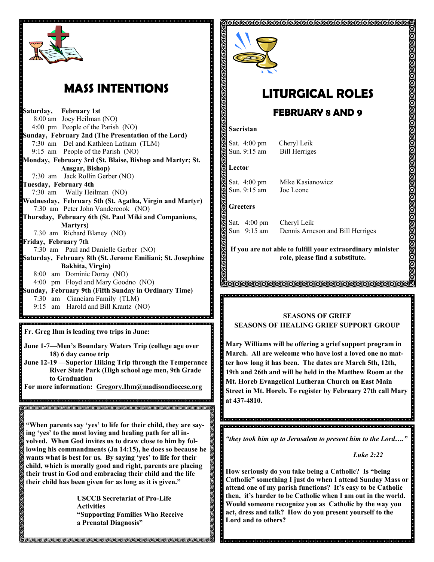

# **MASS INTENTIONS**

**Saturday, February 1st**  8:00 am Joey Heilman (NO) 4:00 pm People of the Parish (NO) **Sunday, February 2nd (The Presentation of the Lord)** 7:30 am Del and Kathleen Latham (TLM) 9:15 am People of the Parish (NO) **Monday, February 3rd (St. Blaise, Bishop and Martyr; St. Ansgar, Bishop)** 7:30 am Jack Rollin Gerber (NO) **Tuesday, February 4th**  7:30 am Wally Heilman (NO) **Wednesday, February 5th (St. Agatha, Virgin and Martyr)** 7:30 am Peter John Vandercook (NO) **Thursday, February 6th (St. Paul Miki and Companions, Martyrs)** 7.30 am Richard Blaney (NO) **Friday, February 7th** 7:30 am Paul and Danielle Gerber (NO) **Saturday, February 8th (St. Jerome Emiliani; St. Josephine Bakhita, Virgin)** 8:00 am Dominic Doray (NO) 4:00 pm Floyd and Mary Goodno (NO) **Sunday, February 9th (Fifth Sunday in Ordinary Time)** 7:30 am Cianciara Family (TLM) 9:15 am Harold and Bill Krantz (NO) **Fr. Greg Ihm is leading two trips in June: June 1-7—Men's Boundary Waters Trip (college age over 18) 6 day canoe trip June 12-19 —Superior Hiking Trip through the Temperance River State Park (High school age men, 9th Grade to Graduation For more information: Gregory.Ihm@madisondiocese.org** , a didigidade de la didigidade de digida didigidade de digida didigidade de concelho didigidade de la digida **"When parents say 'yes' to life for their child, they are saying 'yes' to the most loving and healing path for all involved. When God invites us to draw close to him by following his commandments (Jn 14:15), he does so because he wants what is best for us. By saying 'yes' to life for their child, which is morally good and right, parents are placing their trust in God and embracing their child and the life their child has been given for as long as it is given."**

**USCCB Secretariat of Pro-Life Activities "Supporting Families Who Receive a Prenatal Diagnosis"**



# **LITURGICAL ROLES**

ଶଗଗଗଗଗଗଗଗଗଗଗଗଗଗଗଗଗଗଗଗଗଗଗଗଗଗଗଗ

## **FEBRUARY 8 AND 9**

#### **Sacristan**

Sat. 4:00 pm Cheryl Leik Sun. 9:15 am Bill Herriges

#### **Lector**

Sat. 4:00 pm Mike Kasianowicz Sun. 9:15 am Joe Leone

#### **Greeters**

Sat. 4:00 pm Cheryl Leik

Sun 9:15 am Dennis Arneson and Bill Herriges

**If you are not able to fulfill your extraordinary minister role, please find a substitute.** 

### **SEASONS OF GRIEF SEASONS OF HEALING GRIEF SUPPORT GROUP**

**Mary Williams will be offering a grief support program in March. All are welcome who have lost a loved one no matter how long it has been. The dates are March 5th, 12th, 19th and 26th and will be held in the Matthew Room at the Mt. Horeb Evangelical Lutheran Church on East Main Street in Mt. Horeb. To register by February 27th call Mary at 437-4810.**

ia de la ciedad de la tala de la ciedad de la tala de la tala de la tala de la tala de la tala de la tala de l 

*"they took him up to Jerusalem to present him to the Lord…."*

*Luke 2:22*

**How seriously do you take being a Catholic? Is "being Catholic" something I just do when I attend Sunday Mass or attend one of my parish functions? It's easy to be Catholic then, it's harder to be Catholic when I am out in the world. Would someone recognize you as Catholic by the way you act, dress and talk? How do you present yourself to the Lord and to others?**